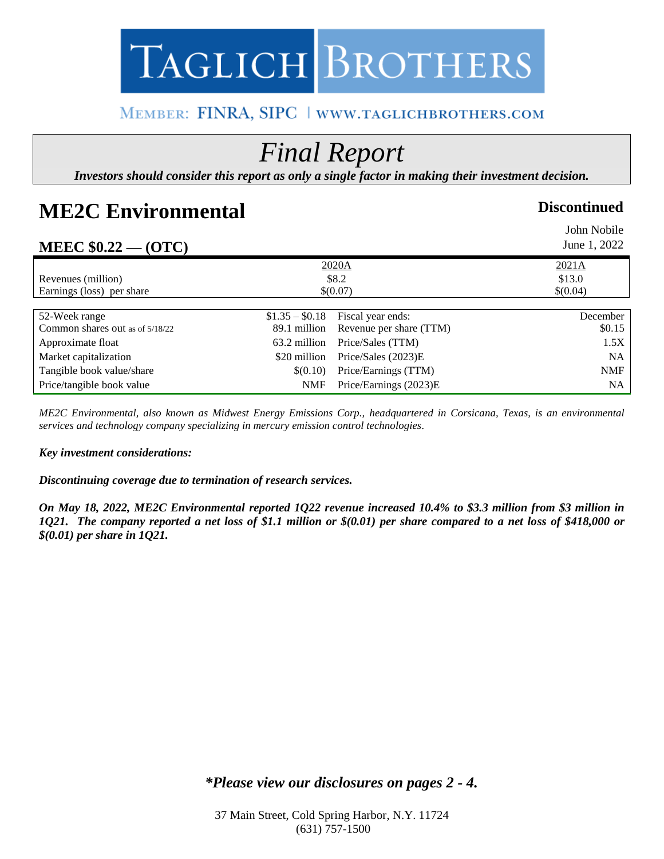# TAGLICH BROTHERS

### MEMBER: FINRA, SIPC | WWW.TAGLICHBROTHERS.COM

## *Final Report*

*Investors should consider this report as only a single factor in making their investment decision.*

## **ME2C Environmental Discontinued**

| MEEC $$0.22 - (OTC)$            |                 |                         | John Nobile<br>June 1, 2022 |
|---------------------------------|-----------------|-------------------------|-----------------------------|
|                                 | 2020A           |                         | 2021A                       |
| Revenues (million)              | \$8.2           |                         | \$13.0                      |
| Earnings (loss) per share       | \$(0.07)        |                         | \$(0.04)                    |
|                                 |                 |                         |                             |
| 52-Week range                   | $$1.35 - $0.18$ | Fiscal year ends:       | December                    |
| Common shares out as of 5/18/22 | 89.1 million    | Revenue per share (TTM) | \$0.15                      |
| Approximate float               | 63.2 million    | Price/Sales (TTM)       | 1.5X                        |
| Market capitalization           | \$20 million    | Price/Sales (2023)E     | <b>NA</b>                   |
| Tangible book value/share       | \$(0.10)        | Price/Earnings (TTM)    | <b>NMF</b>                  |
| Price/tangible book value       | <b>NMF</b>      | Price/Earnings (2023)E  | NA                          |

*ME2C Environmental, also known as Midwest Energy Emissions Corp., headquartered in Corsicana, Texas, is an environmental services and technology company specializing in mercury emission control technologies.* 

#### *Key investment considerations:*

*Discontinuing coverage due to termination of research services.*

*On May 18, 2022, ME2C Environmental reported 1Q22 revenue increased 10.4% to \$3.3 million from \$3 million in 1Q21. The company reported a net loss of \$1.1 million or \$(0.01) per share compared to a net loss of \$418,000 or \$(0.01) per share in 1Q21.* 

*\*Please view our disclosures on pages 2 - 4.*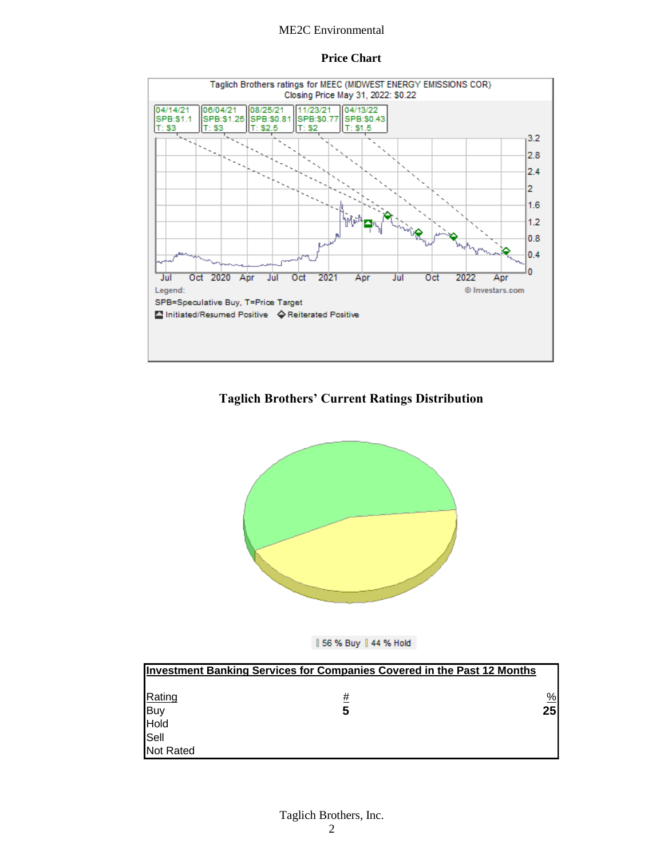#### ME2C Environmental

#### **Price Chart**



#### **Taglich Brothers' Current Ratings Distribution**





|                  | <b>Investment Banking Services for Companies Covered in the Past 12 Months</b> |                 |
|------------------|--------------------------------------------------------------------------------|-----------------|
|                  |                                                                                |                 |
| Rating           | #                                                                              | $\frac{9}{6}$   |
|                  | 5                                                                              | 25 <sub>l</sub> |
| Buy<br>Hold      |                                                                                |                 |
| Sell             |                                                                                |                 |
| <b>Not Rated</b> |                                                                                |                 |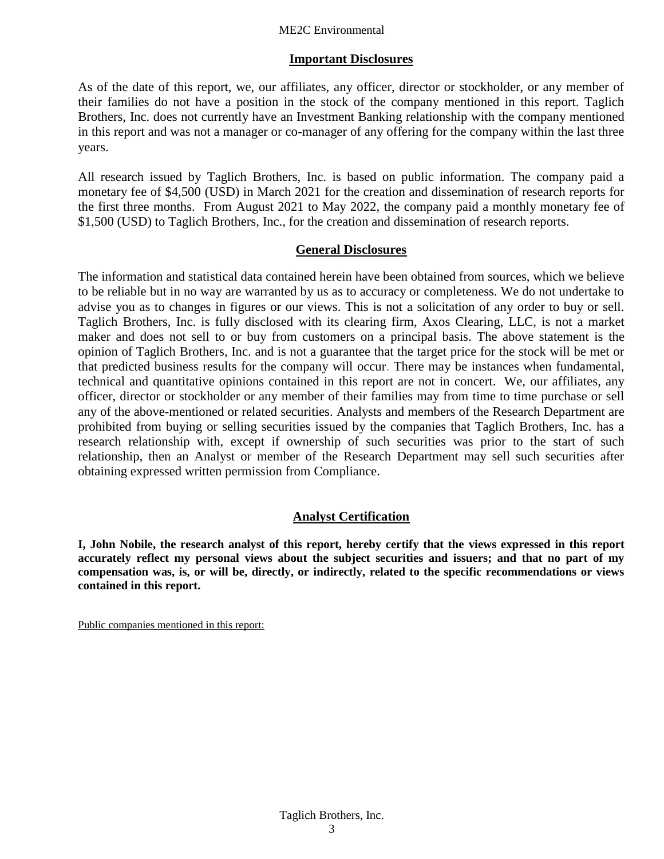#### ME2C Environmental

#### **Important Disclosures**

As of the date of this report, we, our affiliates, any officer, director or stockholder, or any member of their families do not have a position in the stock of the company mentioned in this report. Taglich Brothers, Inc. does not currently have an Investment Banking relationship with the company mentioned in this report and was not a manager or co-manager of any offering for the company within the last three years.

All research issued by Taglich Brothers, Inc. is based on public information. The company paid a monetary fee of \$4,500 (USD) in March 2021 for the creation and dissemination of research reports for the first three months. From August 2021 to May 2022, the company paid a monthly monetary fee of \$1,500 (USD) to Taglich Brothers, Inc., for the creation and dissemination of research reports.

#### **General Disclosures**

The information and statistical data contained herein have been obtained from sources, which we believe to be reliable but in no way are warranted by us as to accuracy or completeness. We do not undertake to advise you as to changes in figures or our views. This is not a solicitation of any order to buy or sell. Taglich Brothers, Inc. is fully disclosed with its clearing firm, Axos Clearing, LLC, is not a market maker and does not sell to or buy from customers on a principal basis. The above statement is the opinion of Taglich Brothers, Inc. and is not a guarantee that the target price for the stock will be met or that predicted business results for the company will occur. There may be instances when fundamental, technical and quantitative opinions contained in this report are not in concert. We, our affiliates, any officer, director or stockholder or any member of their families may from time to time purchase or sell any of the above-mentioned or related securities. Analysts and members of the Research Department are prohibited from buying or selling securities issued by the companies that Taglich Brothers, Inc. has a research relationship with, except if ownership of such securities was prior to the start of such relationship, then an Analyst or member of the Research Department may sell such securities after obtaining expressed written permission from Compliance.

#### **Analyst Certification**

**I, John Nobile, the research analyst of this report, hereby certify that the views expressed in this report accurately reflect my personal views about the subject securities and issuers; and that no part of my compensation was, is, or will be, directly, or indirectly, related to the specific recommendations or views contained in this report.**

Public companies mentioned in this report: